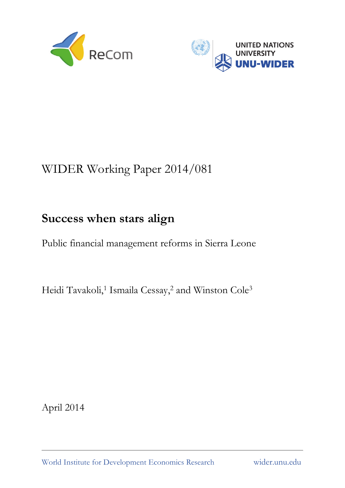



# WIDER Working Paper 2014/081

## **Success when stars align**

Public financial management reforms in Sierra Leone

Heidi Tavakoli,<sup>1</sup> Ismaila Cessay,<sup>2</sup> and Winston Cole<sup>3</sup>

April 2014

World Institute for Development Economics Research wider.unu.edu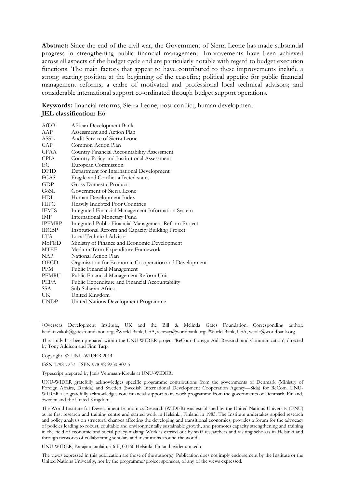**Abstract:** Since the end of the civil war, the Government of Sierra Leone has made substantial progress in strengthening public financial management. Improvements have been achieved across all aspects of the budget cycle and are particularly notable with regard to budget execution functions. The main factors that appear to have contributed to these improvements include a strong starting position at the beginning of the ceasefire; political appetite for public financial management reforms; a cadre of motivated and professional local technical advisors; and considerable international support co-ordinated through budget support operations.

**Keywords:** financial reforms, Sierra Leone, post-conflict, human development **JEL classification:** E6

| AfDB          | African Development Bank                               |
|---------------|--------------------------------------------------------|
| AAP           | Assessment and Action Plan                             |
| ASSL          | Audit Service of Sierra Leone                          |
| CAP           | Common Action Plan                                     |
| <b>CFAA</b>   | Country Financial Accountability Assessment            |
| CPIA          | Country Policy and Institutional Assessment            |
| EС            | European Commission                                    |
| DFID          | Department for International Development               |
| FCAS          | Fragile and Conflict-affected states                   |
| <b>GDP</b>    | <b>Gross Domestic Product</b>                          |
| GoSL          | Government of Sierra Leone                             |
| HDI.          | Human Development Index                                |
| <b>HIPC</b>   | Heavily Indebted Poor Countries                        |
| <b>IFMIS</b>  | Integrated Financial Management Information System     |
| IMF           | International Monetary Fund                            |
| <b>IPFMRP</b> | Integrated Public Financial Management Reform Project  |
| <b>IRCBP</b>  | Institutional Reform and Capacity Building Project     |
| LTA.          | Local Technical Advisor                                |
| MoFED         | Ministry of Finance and Economic Development           |
| <b>MTEF</b>   | Medium Term Expenditure Framework                      |
| NAP           | National Action Plan                                   |
| <b>OECD</b>   | Organisation for Economic Co-operation and Development |
| <b>PFM</b>    | Public Financial Management                            |
| PFMRU         | Public Financial Management Reform Unit                |
| <b>PEFA</b>   | Public Expenditure and Financial Accountability        |
| SSA           | Sub-Saharan Africa                                     |
| UK.           | United Kingdom                                         |
| <b>UNDP</b>   | United Nations Development Programme                   |

1Overseas Development Institute, UK and the Bill & Melinda Gates Foundation. Corresponding author: heidi.tavakoli@gatesfoundation.org; 2World Bank, USA, iceesay@worldbank.org; 3World Bank, USA, wcole@worldbank.org

This study has been prepared within the UNU-WIDER project 'ReCom–Foreign Aid: Research and Communication', directed by Tony Addison and Finn Tarp.

Copyright © UNU-WIDER 2014

ISSN 1798-7237 ISBN 978-92-9230-802-5

Typescript prepared by Janis Vehmaan-Kreula at UNU-WIDER.

UNU-WIDER gratefully acknowledges specific programme contributions from the governments of Denmark (Ministry of Foreign Affairs, Danida) and Sweden (Swedish International Development Cooperation Agency—Sida) for ReCom. UNU-WIDER also gratefully acknowledges core financial support to its work programme from the governments of Denmark, Finland, Sweden and the United Kingdom.

The World Institute for Development Economics Research (WIDER) was established by the United Nations University (UNU) as its first research and training centre and started work in Helsinki, Finland in 1985. The Institute undertakes applied research and policy analysis on structural changes affecting the developing and transitional economies, provides a forum for the advocacy of policies leading to robust, equitable and environmentally sustainable growth, and promotes capacity strengthening and training in the field of economic and social policy-making. Work is carried out by staff researchers and visiting scholars in Helsinki and through networks of collaborating scholars and institutions around the world.

UNU-WIDER, Katajanokanlaituri 6 B, 00160 Helsinki, Finland, wider.unu.edu

The views expressed in this publication are those of the author(s). Publication does not imply endorsement by the Institute or the United Nations University, nor by the programme/project sponsors, of any of the views expressed.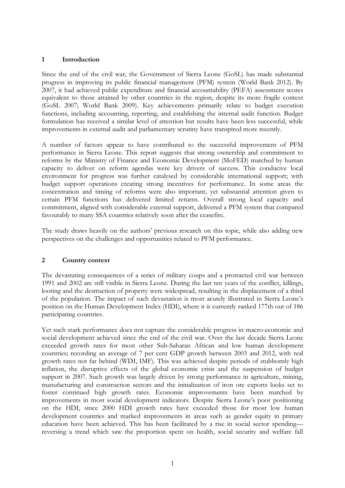#### **1 Introduction**

Since the end of the civil war, the Government of Sierra Leone (GoSL) has made substantial progress in improving its public financial management (PFM) system (World Bank 2012). By 2007, it had achieved public expenditure and financial accountability (PEFA) assessment scores equivalent to those attained by other countries in the region, despite its more fragile context (GoSL 2007; World Bank 2009). Key achievements primarily relate to budget execution functions, including accounting, reporting, and establishing the internal audit function. Budget formulation has received a similar level of attention but results have been less successful, while improvements in external audit and parliamentary scrutiny have transpired more recently.

A number of factors appear to have contributed to the successful improvement of PFM performance in Sierra Leone. This report suggests that strong ownership and commitment to reforms by the Ministry of Finance and Economic Development (MoFED) matched by human capacity to deliver on reform agendas were key drivers of success. This conducive local environment for progress was further catalysed by considerable international support; with budget support operations creating strong incentives for performance. In some areas the concentration and timing of reforms were also important, yet substantial attention given to certain PFM functions has delivered limited returns. Overall strong local capacity and commitment, aligned with considerable external support, delivered a PFM system that compared favourably to many SSA countries relatively soon after the ceasefire.

The study draws heavily on the authors' previous research on this topic, while also adding new perspectives on the challenges and opportunities related to PFM performance.

#### **2 Country context**

The devastating consequences of a series of military coups and a protracted civil war between 1991 and 2002 are still visible in Sierra Leone. During the last ten years of the conflict, killings, looting and the destruction of property were widespread, resulting in the displacement of a third of the population. The impact of such devastation is most acutely illustrated in Sierra Leone's position on the Human Development Index (HDI), where it is currently ranked 177th out of 186 participating countries.

Yet such stark performance does not capture the considerable progress in macro-economic and social development achieved since the end of the civil war. Over the last decade Sierra Leone exceeded growth rates for most other Sub-Saharan African and low human development countries; recording an average of 7 per cent GDP growth between 2003 and 2012, with real growth rates not far behind (WDI, IMF). This was achieved despite periods of stubbornly high inflation, the disruptive effects of the global economic crisis and the suspension of budget support in 2007. Such growth was largely driven by strong performance in agriculture, mining, manufacturing and construction sectors and the initialization of iron ore exports looks set to foster continued high growth rates. Economic improvements have been matched by improvements in most social development indicators. Despite Sierra Leone's poor positioning on the HDI, since 2000 HDI growth rates have exceeded those for most low human development countries and marked improvements in areas such as gender equity in primary education have been achieved. This has been facilitated by a rise in social sector spending reversing a trend which saw the proportion spent on health, social security and welfare fall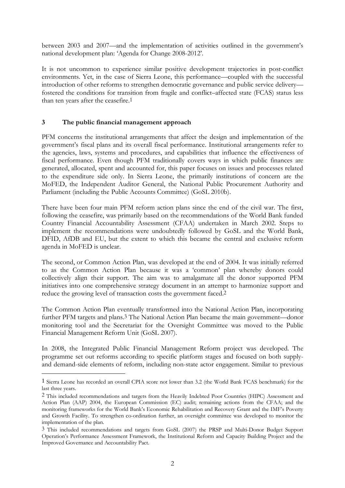between 2003 and 2007—and the implementation of activities outlined in the government's national development plan: 'Agenda for Change 2008-2012'.

It is not uncommon to experience similar positive development trajectories in post-conflict environments. Yet, in the case of Sierra Leone, this performance—coupled with the successful introduction of other reforms to strengthen democratic governance and public service delivery fostered the conditions for transition from fragile and conflict–affected state (FCAS) status less than ten years after the ceasefire.1

#### **3 The public financial management approach**

<u>.</u>

PFM concerns the institutional arrangements that affect the design and implementation of the government's fiscal plans and its overall fiscal performance. Institutional arrangements refer to the agencies, laws, systems and procedures, and capabilities that influence the effectiveness of fiscal performance. Even though PFM traditionally covers ways in which public finances are generated, allocated, spent and accounted for, this paper focuses on issues and processes related to the expenditure side only. In Sierra Leone, the primarily institutions of concern are the MoFED, the Independent Auditor General, the National Public Procurement Authority and Parliament (including the Public Accounts Committee) (GoSL 2010b).

There have been four main PFM reform action plans since the end of the civil war. The first, following the ceasefire, was primarily based on the recommendations of the World Bank funded Country Financial Accountability Assessment (CFAA) undertaken in March 2002. Steps to implement the recommendations were undoubtedly followed by GoSL and the World Bank, DFID, AfDB and EU, but the extent to which this became the central and exclusive reform agenda in MoFED is unclear.

The second, or Common Action Plan, was developed at the end of 2004. It was initially referred to as the Common Action Plan because it was a 'common' plan whereby donors could collectively align their support. The aim was to amalgamate all the donor supported PFM initiatives into one comprehensive strategy document in an attempt to harmonize support and reduce the growing level of transaction costs the government faced.2

The Common Action Plan eventually transformed into the National Action Plan, incorporating further PFM targets and plans.3 The National Action Plan became the main government—donor monitoring tool and the Secretariat for the Oversight Committee was moved to the Public Financial Management Reform Unit (GoSL 2007).

In 2008, the Integrated Public Financial Management Reform project was developed. The programme set out reforms according to specific platform stages and focused on both supplyand demand-side elements of reform, including non-state actor engagement. Similar to previous

<sup>1</sup> Sierra Leone has recorded an overall CPIA score not lower than 3.2 (the World Bank FCAS benchmark) for the last three years.

<sup>2</sup> This included recommendations and targets from the Heavily Indebted Poor Countries (HIPC) Assessment and Action Plan (AAP) 2004, the European Commission (EC) audit; remaining actions from the CFAA; and the monitoring frameworks for the World Bank's Economic Rehabilitation and Recovery Grant and the IMF's Poverty and Growth Facility. To strengthen co-ordination further, an oversight committee was developed to monitor the implementation of the plan.

<sup>3</sup> This included recommendations and targets from GoSL (2007) the PRSP and Multi-Donor Budget Support Operation's Performance Assessment Framework, the Institutional Reform and Capacity Building Project and the Improved Governance and Accountability Pact.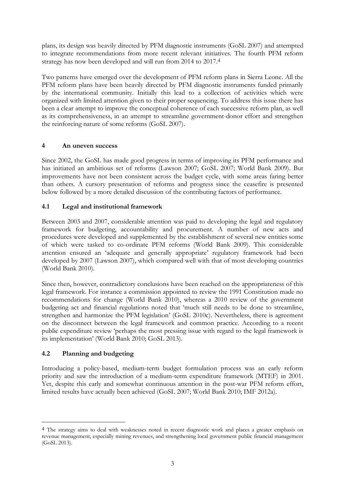plans, its design was heavily directed by PFM diagnostic instruments (GoSL 2007) and attempted to integrate recommendations from more recent relevant initiatives. The fourth PFM reform strategy has now been developed and will run from 2014 to 2017.4

Two patterns have emerged over the development of PFM reform plans in Sierra Leone. All the PFM reform plans have been heavily directed by PFM diagnostic instruments funded primarily by the international community. Initially this lead to a collection of activities which were organized with limited attention given to their proper sequencing. To address this issue there has been a clear attempt to improve the conceptual coherence of each successive reform plan, as well as its comprehensiveness, in an attempt to streamline government-donor effort and strengthen the reinforcing nature of some reforms (GoSL 2007).

#### **4 An uneven success**

Since 2002, the GoSL has made good progress in terms of improving its PFM performance and has initiated an ambitious set of reforms (Lawson 2007; GoSL 2007; World Bank 2009). But improvements have not been consistent across the budget cycle, with some areas faring better than others. A cursory presentation of reforms and progress since the ceasefire is presented below followed by a more detailed discussion of the contributing factors of performance.

#### **4.1 Legal and institutional framework**

Between 2003 and 2007, considerable attention was paid to developing the legal and regulatory framework for budgeting, accountability and procurement. A number of new acts and procedures were developed and supplemented by the establishment of several new entities some of which were tasked to co-ordinate PFM reforms (World Bank 2009). This considerable attention ensured an 'adequate and generally appropriate' regulatory framework had been developed by 2007 (Lawson 2007), which compared well with that of most developing countries (World Bank 2010).

Since then, however, contradictory conclusions have been reached on the appropriateness of this legal framework. For instance a commission appointed to review the 1991 Constitution made no recommendations for change (World Bank 2010), whereas a 2010 review of the government budgeting act and financial regulations noted that 'much still needs to be done to streamline, strengthen and harmonize the PFM legislation' (GoSL 2010c). Nevertheless, there is agreement on the disconnect between the legal framework and common practice. According to a recent public expenditure review 'perhaps the most pressing issue with regard to the legal framework is its implementation' (World Bank 2010; GoSL 2013).

#### **4.2 Planning and budgeting**

-

Introducing a policy-based, medium-term budget formulation process was an early reform priority and saw the introduction of a medium-term expenditure framework (MTEF) in 2001. Yet, despite this early and somewhat continuous attention in the post-war PFM reform effort, limited results have actually been achieved (GoSL 2007; World Bank 2010; IMF 2012a).

<sup>4</sup> The strategy aims to deal with weaknesses noted in recent diagnostic work and places a greater emphasis on revenue management, especially mining revenues, and strengthening local government public financial management (GoSL 2013).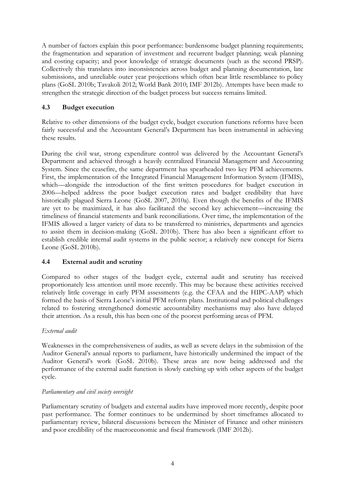A number of factors explain this poor performance: burdensome budget planning requirements; the fragmentation and separation of investment and recurrent budget planning; weak planning and costing capacity; and poor knowledge of strategic documents (such as the second PRSP). Collectively this translates into inconsistencies across budget and planning documentation, late submissions, and unreliable outer year projections which often bear little resemblance to policy plans (GoSL 2010b; Tavakoli 2012; World Bank 2010; IMF 2012b). Attempts have been made to strengthen the strategic direction of the budget process but success remains limited.

#### **4.3 Budget execution**

Relative to other dimensions of the budget cycle, budget execution functions reforms have been fairly successful and the Accountant General's Department has been instrumental in achieving these results.

During the civil war, strong expenditure control was delivered by the Accountant General's Department and achieved through a heavily centralized Financial Management and Accounting System. Since the ceasefire, the same department has spearheaded two key PFM achievements. First, the implementation of the Integrated Financial Management Information System (IFMIS), which—alongside the introduction of the first written procedures for budget execution in 2006—helped address the poor budget execution rates and budget credibility that have historically plagued Sierra Leone (GoSL 2007, 2010a). Even though the benefits of the IFMIS are yet to be maximized, it has also facilitated the second key achievement—increasing the timeliness of financial statements and bank reconciliations. Over time, the implementation of the IFMIS allowed a larger variety of data to be transferred to ministries, departments and agencies to assist them in decision-making (GoSL 2010b). There has also been a significant effort to establish credible internal audit systems in the public sector; a relatively new concept for Sierra Leone (GoSL 2010b).

#### **4.4 External audit and scrutiny**

Compared to other stages of the budget cycle, external audit and scrutiny has received proportionately less attention until more recently. This may be because these activities received relatively little coverage in early PFM assessments (e.g. the CFAA and the HIPC-AAP) which formed the basis of Sierra Leone's initial PFM reform plans. Institutional and political challenges related to fostering strengthened domestic accountability mechanisms may also have delayed their attention. As a result, this has been one of the poorest performing areas of PFM.

#### *External audit*

Weaknesses in the comprehensiveness of audits, as well as severe delays in the submission of the Auditor General's annual reports to parliament, have historically undermined the impact of the Auditor General's work (GoSL 2010b). These areas are now being addressed and the performance of the external audit function is slowly catching up with other aspects of the budget cycle.

#### *Parliamentary and civil society oversight*

Parliamentary scrutiny of budgets and external audits have improved more recently, despite poor past performance. The former continues to be undermined by short timeframes allocated to parliamentary review, bilateral discussions between the Minister of Finance and other ministers and poor credibility of the macroeconomic and fiscal framework (IMF 2012b).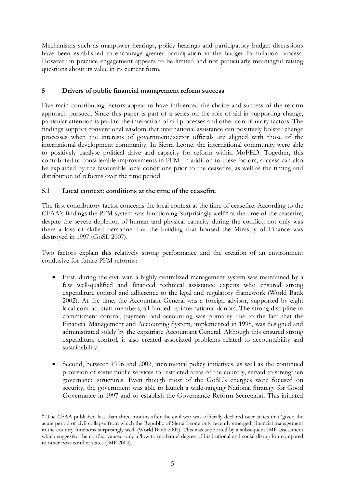Mechanisms such as manpower hearings, policy hearings and participatory budget discussions have been established to encourage greater participation in the budget formulation process. However in practice engagement appears to be limited and not particularly meaningful raising questions about its value in its current form.

### **5 Drivers of public financial management reform success**

Five main contributing factors appear to have influenced the choice and success of the reform approach pursued. Since this paper is part of a series on the role of aid in supporting change, particular attention is paid to the interaction of aid processes and other contributory factors. The findings support conventional wisdom that international assistance can positively bolster change processes when the interests of government/sector officials are aligned with those of the international development community. In Sierra Leone, the international community were able to positively catalyse political drive and capacity for reform within MoFED. Together, this contributed to considerable improvements in PFM. In addition to these factors, success can also be explained by the favourable local conditions prior to the ceasefire, as well as the timing and distribution of reforms over the time period.

## **5.1 Local context: conditions at the time of the ceasefire**

-

The first contributory factor concerns the local context at the time of ceasefire. According to the CFAA's findings the PFM system was functioning 'surprisingly well'5 at the time of the ceasefire, despite the severe depletion of human and physical capacity during the conflict; not only was there a loss of skilled personnel but the building that housed the Ministry of Finance was destroyed in 1997 (GoSL 2007).

Two factors explain this relatively strong performance and the creation of an environment conducive for future PFM reforms:

- First, during the civil war, a highly centralized management system was maintained by a few well-qualified and financed technical assistance experts who ensured strong expenditure control and adherence to the legal and regulatory framework (World Bank 2002). At the time, the Accountant General was a foreign advisor, supported by eight local contract staff members, all funded by international donors. The strong discipline in commitment control, payment and accounting was primarily due to the fact that the Financial Management and Accounting System, implemented in 1998, was designed and administrated solely by the expatriate Accountant General. Although this ensured strong expenditure control, it also created associated problems related to accountability and sustainability.
- Second, between 1996 and 2002, incremental policy initiatives, as well as the continued provision of some public services to restricted areas of the country, served to strengthen governance structures. Even though most of the GoSL's energies were focused on security, the government was able to launch a wide-ranging National Strategy for Good Governance in 1997 and to establish the Governance Reform Secretariat. This initiated

<sup>5</sup> The CFAA published less than three months after the civil war was officially declared over states that 'given the acute period of civil collapse from which the Republic of Sierra Leone only recently emerged, financial management in the country functions surprisingly well' (World Bank 2002). This was supported by a subsequent IMF assessment which suggested the conflict caused only a 'low to moderate' degree of institutional and social disruption compared to other post-conflict states (IMF 2004).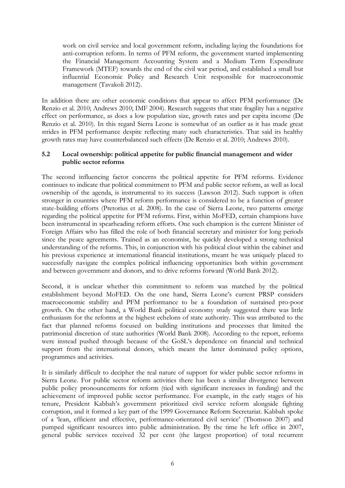work on civil service and local government reform, including laying the foundations for anti-corruption reform. In terms of PFM reform, the government started implementing the Financial Management Accounting System and a Medium Term Expenditure Framework (MTEF) towards the end of the civil war period, and established a small but influential Economic Policy and Research Unit responsible for macroeconomic management (Tavakoli 2012).

In addition there are other economic conditions that appear to affect PFM performance (De Renzio et al. 2010; Andrews 2010; IMF 2004). Research suggests that state fragility has a negative effect on performance, as does a low population size, growth rates and per capita income (De Renzio et al. 2010). In this regard Sierra Leone is somewhat of an outlier as it has made great strides in PFM performance despite reflecting many such characteristics. That said its healthy growth rates may have counterbalanced such effects (De Renzio et al. 2010; Andrews 2010).

#### **5.2 Local ownership: political appetite for public financial management and wider public sector reforms**

The second influencing factor concerns the political appetite for PFM reforms. Evidence continues to indicate that political commitment to PFM and public sector reform, as well as local ownership of the agenda, is instrumental to its success (Lawson 2012). Such support is often stronger in countries where PFM reform performance is considered to be a function of greater state-building efforts (Pretorius et al. 2008). In the case of Sierra Leone, two patterns emerge regarding the political appetite for PFM reforms. First, within MoFED, certain champions have been instrumental in spearheading reform efforts. One such champion is the current Minister of Foreign Affairs who has filled the role of both financial secretary and minister for long periods since the peace agreements. Trained as an economist, he quickly developed a strong technical understanding of the reforms. This, in conjunction with his political clout within the cabinet and his previous experience at international financial institutions, meant he was uniquely placed to successfully navigate the complex political influencing opportunities both within government and between government and donors, and to drive reforms forward (World Bank 2012).

Second, it is unclear whether this commitment to reform was matched by the political establishment beyond MoFED. On the one hand, Sierra Leone's current PRSP considers macroeconomic stability and PFM performance to be a foundation of sustained pro-poor growth. On the other hand, a World Bank political economy study suggested there was little enthusiasm for the reforms at the highest echelons of state authority. This was attributed to the fact that planned reforms focused on building institutions and processes that limited the patrimonial discretion of state authorities (World Bank 2008). According to the report, reforms were instead pushed through because of the GoSL's dependence on financial and technical support from the international donors, which meant the latter dominated policy options, programmes and activities.

It is similarly difficult to decipher the real nature of support for wider public sector reforms in Sierra Leone. For public sector reform activities there has been a similar divergence between public policy pronouncements for reform (tied with significant increases in funding) and the achievement of improved public sector performance. For example, in the early stages of his tenure, President Kabbah's government prioritized civil service reform alongside fighting corruption, and it formed a key part of the 1999 Governance Reform Secretariat. Kabbah spoke of a 'lean, efficient and effective, performance-orientated civil service' (Thomson 2007) and pumped significant resources into public administration. By the time he left office in 2007, general public services received 32 per cent (the largest proportion) of total recurrent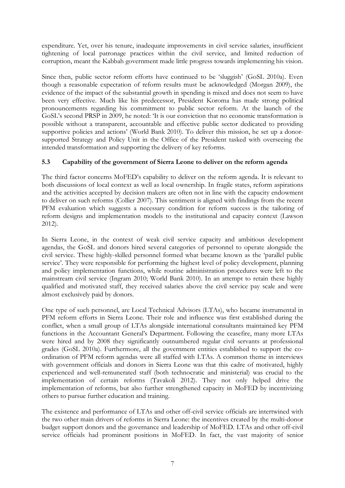expenditure. Yet, over his tenure, inadequate improvements in civil service salaries, insufficient tightening of local patronage practices within the civil service, and limited reduction of corruption, meant the Kabbah government made little progress towards implementing his vision.

Since then, public sector reform efforts have continued to be 'sluggish' (GoSL 2010a). Even though a reasonable expectation of reform results must be acknowledged (Morgan 2009), the evidence of the impact of the substantial growth in spending is mixed and does not seem to have been very effective. Much like his predecessor, President Koroma has made strong political pronouncements regarding his commitment to public sector reform. At the launch of the GoSL's second PRSP in 2009, he noted: 'It is our conviction that no economic transformation is possible without a transparent, accountable and effective public sector dedicated to providing supportive policies and actions' (World Bank 2010). To deliver this mission, he set up a donorsupported Strategy and Policy Unit in the Office of the President tasked with overseeing the intended transformation and supporting the delivery of key reforms.

#### **5.3 Capability of the government of Sierra Leone to deliver on the reform agenda**

The third factor concerns MoFED's capability to deliver on the reform agenda. It is relevant to both discussions of local context as well as local ownership. In fragile states, reform aspirations and the activities accepted by decision makers are often not in line with the capacity endowment to deliver on such reforms (Collier 2007). This sentiment is aligned with findings from the recent PFM evaluation which suggests a necessary condition for reform success is the tailoring of reform designs and implementation models to the institutional and capacity context (Lawson 2012).

In Sierra Leone, in the context of weak civil service capacity and ambitious development agendas, the GoSL and donors hired several categories of personnel to operate alongside the civil service. These highly-skilled personnel formed what became known as the 'parallel public service'. They were responsible for performing the highest level of policy development, planning and policy implementation functions, while routine administration procedures were left to the mainstream civil service (Ingram 2010; World Bank 2010). In an attempt to retain these highly qualified and motivated staff, they received salaries above the civil service pay scale and were almost exclusively paid by donors.

One type of such personnel, are Local Technical Advisors (LTAs), who became instrumental in PFM reform efforts in Sierra Leone. Their role and influence was first established during the conflict, when a small group of LTAs alongside international consultants maintained key PFM functions in the Accountant General's Department. Following the ceasefire, many more LTAs were hired and by 2008 they significantly outnumbered regular civil servants at professional grades (GoSL 2010a). Furthermore, all the government entities established to support the coordination of PFM reform agendas were all staffed with LTAs. A common theme in interviews with government officials and donors in Sierra Leone was that this cadre of motivated, highly experienced and well-remunerated staff (both technocratic and ministerial) was crucial to the implementation of certain reforms (Tavakoli 2012). They not only helped drive the implementation of reforms, but also further strengthened capacity in MoFED by incentivizing others to pursue further education and training.

The existence and performance of LTAs and other off-civil service officials are intertwined with the two other main drivers of reforms in Sierra Leone: the incentives created by the multi-donor budget support donors and the governance and leadership of MoFED. LTAs and other off-civil service officials had prominent positions in MoFED. In fact, the vast majority of senior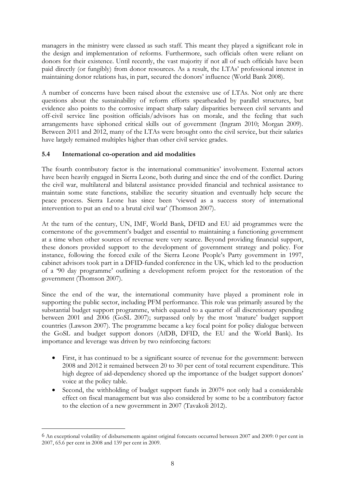managers in the ministry were classed as such staff. This meant they played a significant role in the design and implementation of reforms. Furthermore, such officials often were reliant on donors for their existence. Until recently, the vast majority if not all of such officials have been paid directly (or fungibly) from donor resources. As a result, the LTAs' professional interest in maintaining donor relations has, in part, secured the donors' influence (World Bank 2008).

A number of concerns have been raised about the extensive use of LTAs. Not only are there questions about the sustainability of reform efforts spearheaded by parallel structures, but evidence also points to the corrosive impact sharp salary disparities between civil servants and off-civil service line position officials/advisors has on morale, and the feeling that such arrangements have siphoned critical skills out of government (Ingram 2010; Morgan 2009). Between 2011 and 2012, many of the LTAs were brought onto the civil service, but their salaries have largely remained multiples higher than other civil service grades.

#### **5.4 International co-operation and aid modalities**

-

The fourth contributory factor is the international communities' involvement. External actors have been heavily engaged in Sierra Leone, both during and since the end of the conflict. During the civil war, multilateral and bilateral assistance provided financial and technical assistance to maintain some state functions, stabilize the security situation and eventually help secure the peace process. Sierra Leone has since been 'viewed as a success story of international intervention to put an end to a brutal civil war' (Thomson 2007).

At the turn of the century, UN, IMF, World Bank, DFID and EU aid programmes were the cornerstone of the government's budget and essential to maintaining a functioning government at a time when other sources of revenue were very scarce. Beyond providing financial support, these donors provided support to the development of government strategy and policy. For instance, following the forced exile of the Sierra Leone People's Party government in 1997, cabinet advisors took part in a DFID-funded conference in the UK, which led to the production of a '90 day programme' outlining a development reform project for the restoration of the government (Thomson 2007).

Since the end of the war, the international community have played a prominent role in supporting the public sector, including PFM performance. This role was primarily assured by the substantial budget support programme, which equated to a quarter of all discretionary spending between 2001 and 2006 (GoSL 2007); surpassed only by the most 'mature' budget support countries (Lawson 2007). The programme became a key focal point for policy dialogue between the GoSL and budget support donors (AfDB, DFID, the EU and the World Bank). Its importance and leverage was driven by two reinforcing factors:

- First, it has continued to be a significant source of revenue for the government: between 2008 and 2012 it remained between 20 to 30 per cent of total recurrent expenditure. This high degree of aid-dependency shored up the importance of the budget support donors' voice at the policy table.
- Second, the withholding of budget support funds in 20076 not only had a considerable effect on fiscal management but was also considered by some to be a contributory factor to the election of a new government in 2007 (Tavakoli 2012).

<sup>6</sup> An exceptional volatility of disbursements against original forecasts occurred between 2007 and 2009: 0 per cent in 2007, 65.6 per cent in 2008 and 139 per cent in 2009.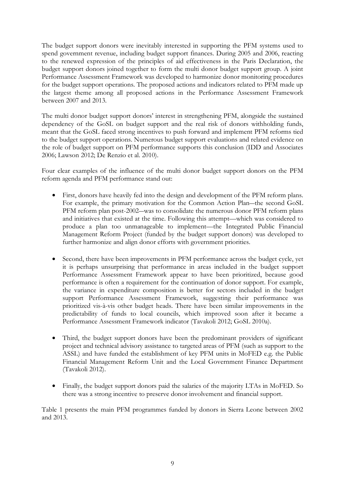The budget support donors were inevitably interested in supporting the PFM systems used to spend government revenue, including budget support finances. During 2005 and 2006, reacting to the renewed expression of the principles of aid effectiveness in the Paris Declaration, the budget support donors joined together to form the multi donor budget support group. A joint Performance Assessment Framework was developed to harmonize donor monitoring procedures for the budget support operations. The proposed actions and indicators related to PFM made up the largest theme among all proposed actions in the Performance Assessment Framework between 2007 and 2013.

The multi donor budget support donors' interest in strengthening PFM, alongside the sustained dependency of the GoSL on budget support and the real risk of donors withholding funds, meant that the GoSL faced strong incentives to push forward and implement PFM reforms tied to the budget support operations. Numerous budget support evaluations and related evidence on the role of budget support on PFM performance supports this conclusion (IDD and Associates 2006; Lawson 2012; De Renzio et al. 2010).

Four clear examples of the influence of the multi donor budget support donors on the PFM reform agenda and PFM performance stand out:

- First, donors have heavily fed into the design and development of the PFM reform plans. For example, the primary motivation for the Common Action Plan—the second GoSL PFM reform plan post-2002―was to consolidate the numerous donor PFM reform plans and initiatives that existed at the time. Following this attempt—which was considered to produce a plan too unmanageable to implement—the Integrated Public Financial Management Reform Project (funded by the budget support donors) was developed to further harmonize and align donor efforts with government priorities.
- Second, there have been improvements in PFM performance across the budget cycle, yet it is perhaps unsurprising that performance in areas included in the budget support Performance Assessment Framework appear to have been prioritized, because good performance is often a requirement for the continuation of donor support. For example, the variance in expenditure composition is better for sectors included in the budget support Performance Assessment Framework, suggesting their performance was prioritized vis-à-vis other budget heads. There have been similar improvements in the predictability of funds to local councils, which improved soon after it became a Performance Assessment Framework indicator (Tavakoli 2012; GoSL 2010a).
- Third, the budget support donors have been the predominant providers of significant project and technical advisory assistance to targeted areas of PFM (such as support to the ASSL) and have funded the establishment of key PFM units in MoFED e.g. the Public Financial Management Reform Unit and the Local Government Finance Department (Tavakoli 2012).
- Finally, the budget support donors paid the salaries of the majority LTAs in MoFED. So there was a strong incentive to preserve donor involvement and financial support.

Table 1 presents the main PFM programmes funded by donors in Sierra Leone between 2002 and 2013.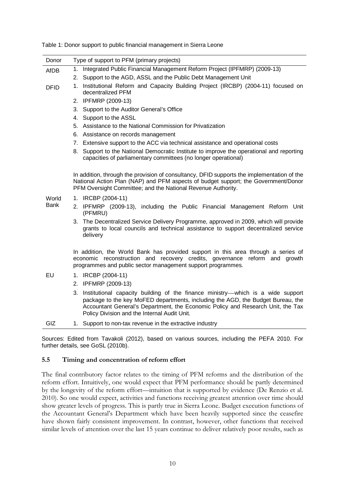| Donor       | Type of support to PFM (primary projects)                                                                                                                                                                                                                                                                   |
|-------------|-------------------------------------------------------------------------------------------------------------------------------------------------------------------------------------------------------------------------------------------------------------------------------------------------------------|
| AfDB        | 1. Integrated Public Financial Management Reform Project (IPFMRP) (2009-13)                                                                                                                                                                                                                                 |
|             | 2. Support to the AGD, ASSL and the Public Debt Management Unit                                                                                                                                                                                                                                             |
| <b>DFID</b> | 1. Institutional Reform and Capacity Building Project (IRCBP) (2004-11) focused on<br>decentralized PFM                                                                                                                                                                                                     |
|             | 2. IPFMRP (2009-13)                                                                                                                                                                                                                                                                                         |
|             | 3. Support to the Auditor General's Office                                                                                                                                                                                                                                                                  |
|             | 4. Support to the ASSL                                                                                                                                                                                                                                                                                      |
|             | 5. Assistance to the National Commission for Privatization                                                                                                                                                                                                                                                  |
|             | 6. Assistance on records management                                                                                                                                                                                                                                                                         |
|             | 7. Extensive support to the ACC via technical assistance and operational costs                                                                                                                                                                                                                              |
|             | 8. Support to the National Democratic Institute to improve the operational and reporting<br>capacities of parliamentary committees (no longer operational)                                                                                                                                                  |
|             | In addition, through the provision of consultancy, DFID supports the implementation of the<br>National Action Plan (NAP) and PFM aspects of budget support; the Government/Donor<br>PFM Oversight Committee; and the National Revenue Authority.                                                            |
| World       | 1. IRCBP (2004-11)                                                                                                                                                                                                                                                                                          |
| Bank        | 2. IPFMRP (2009-13), including the Public Financial Management Reform Unit<br>(PFMRU)                                                                                                                                                                                                                       |
|             | 3. The Decentralized Service Delivery Programme, approved in 2009, which will provide<br>grants to local councils and technical assistance to support decentralized service<br>delivery                                                                                                                     |
|             | In addition, the World Bank has provided support in this area through a series of<br>economic reconstruction and recovery credits, governance reform and growth<br>programmes and public sector management support programmes.                                                                              |
| EU          | 1. IRCBP (2004-11)                                                                                                                                                                                                                                                                                          |
|             | 2. IPFMRP (2009-13)                                                                                                                                                                                                                                                                                         |
|             | Institutional capacity building of the finance ministry—which is a wide support<br>3.<br>package to the key MoFED departments, including the AGD, the Budget Bureau, the<br>Accountant General's Department, the Economic Policy and Research Unit, the Tax<br>Policy Division and the Internal Audit Unit. |
| GIZ         | 1. Support to non-tax revenue in the extractive industry                                                                                                                                                                                                                                                    |
|             |                                                                                                                                                                                                                                                                                                             |

Table 1: Donor support to public financial management in Sierra Leone

Sources: Edited from Tavakoli (2012), based on various sources, including the PEFA 2010. For further details, see GoSL (2010b).

#### **5.5 Timing and concentration of reform effort**

The final contributory factor relates to the timing of PFM reforms and the distribution of the reform effort. Intuitively, one would expect that PFM performance should be partly determined by the longevity of the reform effort—intuition that is supported by evidence (De Renzio et al. 2010). So one would expect, activities and functions receiving greatest attention over time should show greater levels of progress. This is partly true in Sierra Leone. Budget execution functions of the Accountant General's Department which have been heavily supported since the ceasefire have shown fairly consistent improvement. In contrast, however, other functions that received similar levels of attention over the last 15 years continue to deliver relatively poor results, such as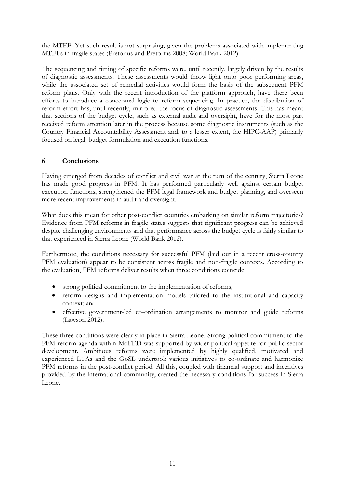the MTEF. Yet such result is not surprising, given the problems associated with implementing MTEFs in fragile states (Pretorius and Pretorius 2008; World Bank 2012).

The sequencing and timing of specific reforms were, until recently, largely driven by the results of diagnostic assessments. These assessments would throw light onto poor performing areas, while the associated set of remedial activities would form the basis of the subsequent PFM reform plans. Only with the recent introduction of the platform approach, have there been efforts to introduce a conceptual logic to reform sequencing. In practice, the distribution of reform effort has, until recently, mirrored the focus of diagnostic assessments. This has meant that sections of the budget cycle, such as external audit and oversight, have for the most part received reform attention later in the process because some diagnostic instruments (such as the Country Financial Accountability Assessment and, to a lesser extent, the HIPC-AAP) primarily focused on legal, budget formulation and execution functions.

#### **6 Conclusions**

Having emerged from decades of conflict and civil war at the turn of the century, Sierra Leone has made good progress in PFM. It has performed particularly well against certain budget execution functions, strengthened the PFM legal framework and budget planning, and overseen more recent improvements in audit and oversight.

What does this mean for other post-conflict countries embarking on similar reform trajectories? Evidence from PFM reforms in fragile states suggests that significant progress can be achieved despite challenging environments and that performance across the budget cycle is fairly similar to that experienced in Sierra Leone (World Bank 2012).

Furthermore, the conditions necessary for successful PFM (laid out in a recent cross-country PFM evaluation) appear to be consistent across fragile and non-fragile contexts. According to the evaluation, PFM reforms deliver results when three conditions coincide:

- strong political commitment to the implementation of reforms;
- reform designs and implementation models tailored to the institutional and capacity context; and
- effective government-led co-ordination arrangements to monitor and guide reforms (Lawson 2012).

These three conditions were clearly in place in Sierra Leone. Strong political commitment to the PFM reform agenda within MoFED was supported by wider political appetite for public sector development. Ambitious reforms were implemented by highly qualified, motivated and experienced LTAs and the GoSL undertook various initiatives to co-ordinate and harmonize PFM reforms in the post-conflict period. All this, coupled with financial support and incentives provided by the international community, created the necessary conditions for success in Sierra Leone.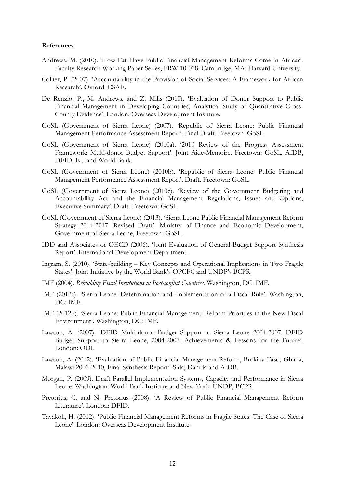#### **References**

- Andrews, M. (2010). 'How Far Have Public Financial Management Reforms Come in Africa?'. Faculty Research Working Paper Series, FRW 10-018. Cambridge, MA: Harvard University.
- Collier, P. (2007). 'Accountability in the Provision of Social Services: A Framework for African Research'. Oxford: CSAE.
- De Renzio, P., M. Andrews, and Z. Mills (2010). 'Evaluation of Donor Support to Public Financial Management in Developing Countries, Analytical Study of Quantitative Cross-County Evidence'. London: Overseas Development Institute.
- GoSL (Government of Sierra Leone) (2007). 'Republic of Sierra Leone: Public Financial Management Performance Assessment Report'. Final Draft. Freetown: GoSL.
- GoSL (Government of Sierra Leone) (2010a). '2010 Review of the Progress Assessment Framework: Multi-donor Budget Support'. Joint Aide-Memoire. Freetown: GoSL, AfDB, DFID, EU and World Bank.
- GoSL (Government of Sierra Leone) (2010b). 'Republic of Sierra Leone: Public Financial Management Performance Assessment Report'. Draft. Freetown: GoSL.
- GoSL (Government of Sierra Leone) (2010c). 'Review of the Government Budgeting and Accountability Act and the Financial Management Regulations, Issues and Options, Executive Summary'. Draft. Freetown: GoSL.
- GoSL (Government of Sierra Leone) (2013). 'Sierra Leone Public Financial Management Reform Strategy 2014-2017: Revised Draft'. Ministry of Finance and Economic Development, Government of Sierra Leone, Freetown: GoSL.
- IDD and Associates or OECD (2006). 'Joint Evaluation of General Budget Support Synthesis Report'. International Development Department.
- Ingram, S. (2010). 'State-building Key Concepts and Operational Implications in Two Fragile States'. Joint Initiative by the World Bank's OPCFC and UNDP's BCPR.
- IMF (2004). *Rebuilding Fiscal Institutions in Post-conflict Countries.* Washington, DC: IMF.
- IMF (2012a). 'Sierra Leone: Determination and Implementation of a Fiscal Rule'. Washington, DC: IMF.
- IMF (2012b). 'Sierra Leone: Public Financial Management: Reform Priorities in the New Fiscal Environment'. Washington, DC: IMF.
- Lawson, A. (2007). 'DFID Multi-donor Budget Support to Sierra Leone 2004-2007. DFID Budget Support to Sierra Leone, 2004-2007: Achievements & Lessons for the Future'. London: ODI.
- Lawson, A. (2012). 'Evaluation of Public Financial Management Reform, Burkina Faso, Ghana, Malawi 2001-2010, Final Synthesis Report'. Sida, Danida and AfDB.
- Morgan, P. (2009). Draft Parallel Implementation Systems, Capacity and Performance in Sierra Leone. Washington: World Bank Institute and New York: UNDP, BCPR.
- Pretorius, C. and N. Pretorius (2008). 'A Review of Public Financial Management Reform Literature'. London: DFID.
- Tavakoli, H. (2012). 'Public Financial Management Reforms in Fragile States: The Case of Sierra Leone'. London: Overseas Development Institute.